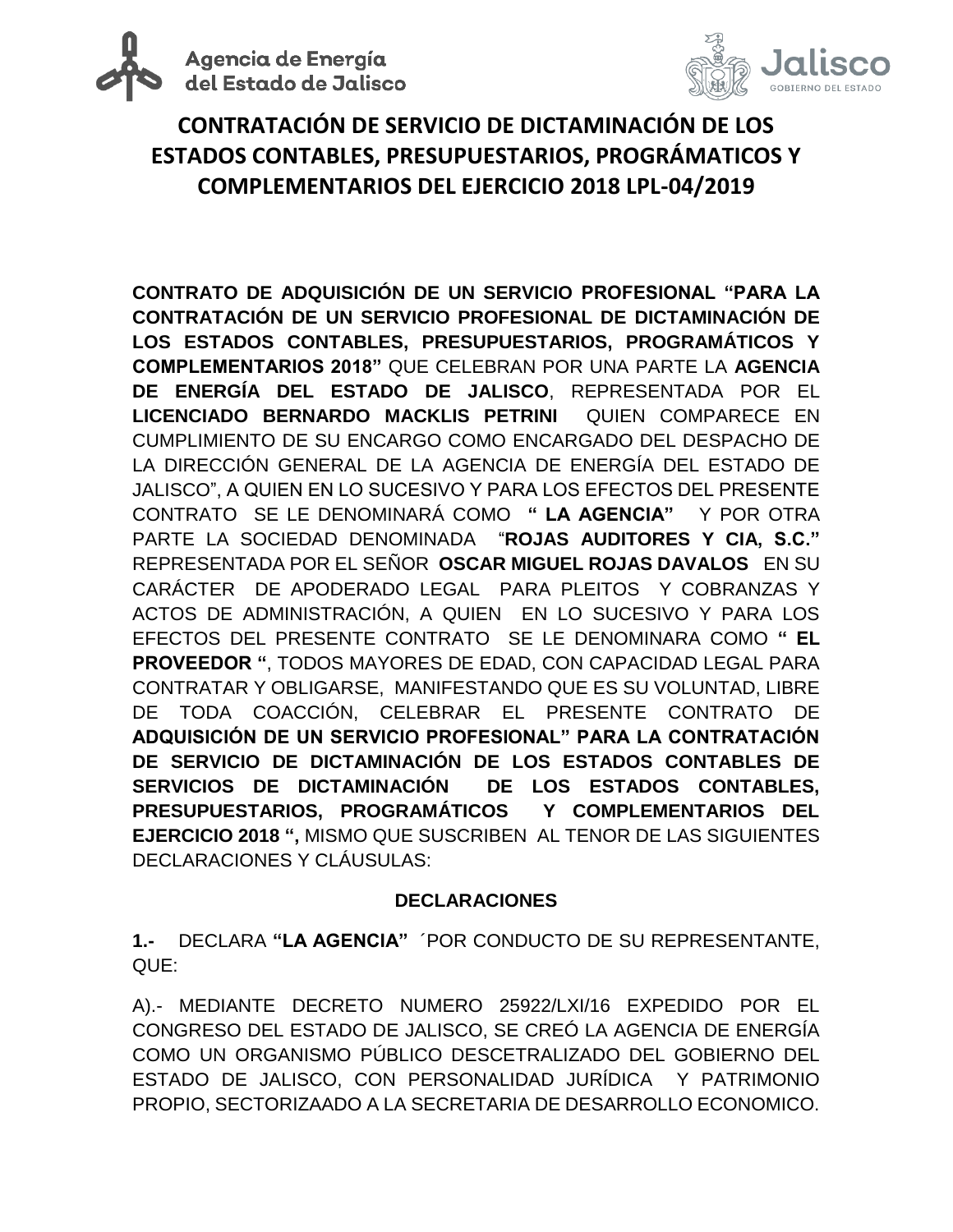



### **CONTRATACIÓN DE SERVICIO DE DICTAMINACIÓN DE LOS ESTADOS CONTABLES, PRESUPUESTARIOS, PROGRÁMATICOS Y COMPLEMENTARIOS DEL EJERCICIO 2018 LPL-04/2019**

**CONTRATO DE ADQUISICIÓN DE UN SERVICIO PROFESIONAL "PARA LA CONTRATACIÓN DE UN SERVICIO PROFESIONAL DE DICTAMINACIÓN DE LOS ESTADOS CONTABLES, PRESUPUESTARIOS, PROGRAMÁTICOS Y COMPLEMENTARIOS 2018"** QUE CELEBRAN POR UNA PARTE LA **AGENCIA DE ENERGÍA DEL ESTADO DE JALISCO**, REPRESENTADA POR EL **LICENCIADO BERNARDO MACKLIS PETRINI** QUIEN COMPARECE EN CUMPLIMIENTO DE SU ENCARGO COMO ENCARGADO DEL DESPACHO DE LA DIRECCIÓN GENERAL DE LA AGENCIA DE ENERGÍA DEL ESTADO DE JALISCO", A QUIEN EN LO SUCESIVO Y PARA LOS EFECTOS DEL PRESENTE CONTRATO SE LE DENOMINARÁ COMO **" LA AGENCIA"** Y POR OTRA PARTE LA SOCIEDAD DENOMINADA "**ROJAS AUDITORES Y CIA, S.C."**  REPRESENTADA POR EL SEÑOR **OSCAR MIGUEL ROJAS DAVALOS** EN SU CARÁCTER DE APODERADO LEGAL PARA PLEITOS Y COBRANZAS Y ACTOS DE ADMINISTRACIÓN, A QUIEN EN LO SUCESIVO Y PARA LOS EFECTOS DEL PRESENTE CONTRATO SE LE DENOMINARA COMO **" EL PROVEEDOR "**, TODOS MAYORES DE EDAD, CON CAPACIDAD LEGAL PARA CONTRATAR Y OBLIGARSE, MANIFESTANDO QUE ES SU VOLUNTAD, LIBRE DE TODA COACCIÓN, CELEBRAR EL PRESENTE CONTRATO DE **ADQUISICIÓN DE UN SERVICIO PROFESIONAL" PARA LA CONTRATACIÓN DE SERVICIO DE DICTAMINACIÓN DE LOS ESTADOS CONTABLES DE SERVICIOS DE DICTAMINACIÓN DE LOS ESTADOS CONTABLES, PRESUPUESTARIOS, PROGRAMÁTICOS Y COMPLEMENTARIOS DEL EJERCICIO 2018 ",** MISMO QUE SUSCRIBEN AL TENOR DE LAS SIGUIENTES DECLARACIONES Y CLÁUSULAS:

#### **DECLARACIONES**

**1.-** DECLARA **"LA AGENCIA"** ´POR CONDUCTO DE SU REPRESENTANTE, QUE:

A).- MEDIANTE DECRETO NUMERO 25922/LXI/16 EXPEDIDO POR EL CONGRESO DEL ESTADO DE JALISCO, SE CREÓ LA AGENCIA DE ENERGÍA COMO UN ORGANISMO PÚBLICO DESCETRALIZADO DEL GOBIERNO DEL ESTADO DE JALISCO, CON PERSONALIDAD JURÍDICA Y PATRIMONIO PROPIO, SECTORIZAADO A LA SECRETARIA DE DESARROLLO ECONOMICO.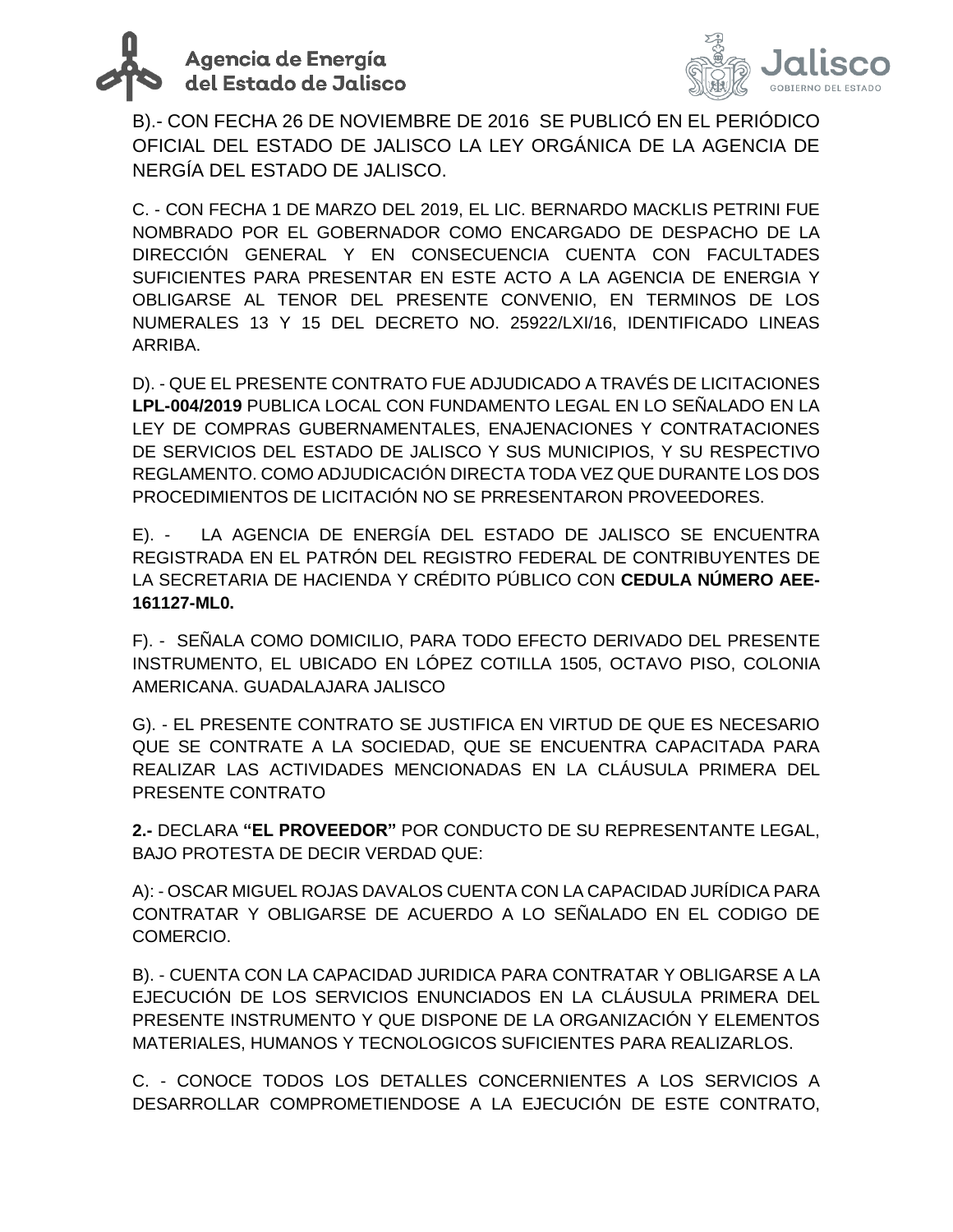



B).- CON FECHA 26 DE NOVIEMBRE DE 2016 SE PUBLICÓ EN EL PERIÓDICO OFICIAL DEL ESTADO DE JALISCO LA LEY ORGÁNICA DE LA AGENCIA DE NERGÍA DEL ESTADO DE JALISCO.

C. - CON FECHA 1 DE MARZO DEL 2019, EL LIC. BERNARDO MACKLIS PETRINI FUE NOMBRADO POR EL GOBERNADOR COMO ENCARGADO DE DESPACHO DE LA DIRECCIÓN GENERAL Y EN CONSECUENCIA CUENTA CON FACULTADES SUFICIENTES PARA PRESENTAR EN ESTE ACTO A LA AGENCIA DE ENERGIA Y OBLIGARSE AL TENOR DEL PRESENTE CONVENIO, EN TERMINOS DE LOS NUMERALES 13 Y 15 DEL DECRETO NO. 25922/LXI/16, IDENTIFICADO LINEAS ARRIBA.

D). - QUE EL PRESENTE CONTRATO FUE ADJUDICADO A TRAVÉS DE LICITACIONES **LPL-004/2019** PUBLICA LOCAL CON FUNDAMENTO LEGAL EN LO SEÑALADO EN LA LEY DE COMPRAS GUBERNAMENTALES, ENAJENACIONES Y CONTRATACIONES DE SERVICIOS DEL ESTADO DE JALISCO Y SUS MUNICIPIOS, Y SU RESPECTIVO REGLAMENTO. COMO ADJUDICACIÓN DIRECTA TODA VEZ QUE DURANTE LOS DOS PROCEDIMIENTOS DE LICITACIÓN NO SE PRRESENTARON PROVEEDORES.

E). - LA AGENCIA DE ENERGÍA DEL ESTADO DE JALISCO SE ENCUENTRA REGISTRADA EN EL PATRÓN DEL REGISTRO FEDERAL DE CONTRIBUYENTES DE LA SECRETARIA DE HACIENDA Y CRÉDITO PÚBLICO CON **CEDULA NÚMERO AEE-161127-ML0.**

F). - SEÑALA COMO DOMICILIO, PARA TODO EFECTO DERIVADO DEL PRESENTE INSTRUMENTO, EL UBICADO EN LÓPEZ COTILLA 1505, OCTAVO PISO, COLONIA AMERICANA. GUADALAJARA JALISCO

G). - EL PRESENTE CONTRATO SE JUSTIFICA EN VIRTUD DE QUE ES NECESARIO QUE SE CONTRATE A LA SOCIEDAD, QUE SE ENCUENTRA CAPACITADA PARA REALIZAR LAS ACTIVIDADES MENCIONADAS EN LA CLÁUSULA PRIMERA DEL PRESENTE CONTRATO

**2.-** DECLARA **"EL PROVEEDOR"** POR CONDUCTO DE SU REPRESENTANTE LEGAL, BAJO PROTESTA DE DECIR VERDAD QUE:

A): - OSCAR MIGUEL ROJAS DAVALOS CUENTA CON LA CAPACIDAD JURÍDICA PARA CONTRATAR Y OBLIGARSE DE ACUERDO A LO SEÑALADO EN EL CODIGO DE COMERCIO.

B). - CUENTA CON LA CAPACIDAD JURIDICA PARA CONTRATAR Y OBLIGARSE A LA EJECUCIÓN DE LOS SERVICIOS ENUNCIADOS EN LA CLÁUSULA PRIMERA DEL PRESENTE INSTRUMENTO Y QUE DISPONE DE LA ORGANIZACIÓN Y ELEMENTOS MATERIALES, HUMANOS Y TECNOLOGICOS SUFICIENTES PARA REALIZARLOS.

C. - CONOCE TODOS LOS DETALLES CONCERNIENTES A LOS SERVICIOS A DESARROLLAR COMPROMETIENDOSE A LA EJECUCIÓN DE ESTE CONTRATO,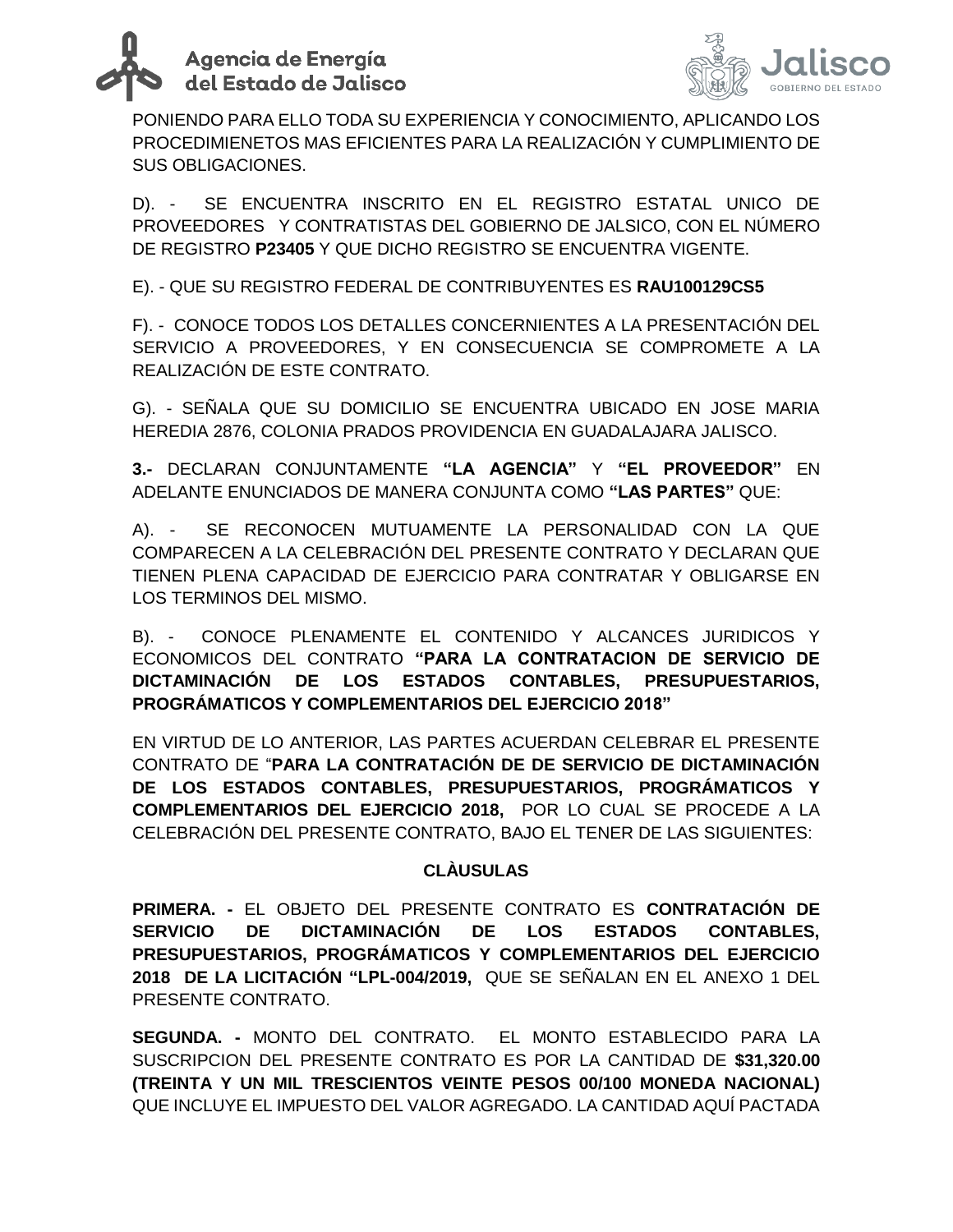



PONIENDO PARA ELLO TODA SU EXPERIENCIA Y CONOCIMIENTO, APLICANDO LOS PROCEDIMIENETOS MAS EFICIENTES PARA LA REALIZACIÓN Y CUMPLIMIENTO DE SUS OBLIGACIONES.

D). - SE ENCUENTRA INSCRITO EN EL REGISTRO ESTATAL UNICO DE PROVEEDORES Y CONTRATISTAS DEL GOBIERNO DE JALSICO, CON EL NÚMERO DE REGISTRO **P23405** Y QUE DICHO REGISTRO SE ENCUENTRA VIGENTE.

E). - QUE SU REGISTRO FEDERAL DE CONTRIBUYENTES ES **RAU100129CS5**

F). - CONOCE TODOS LOS DETALLES CONCERNIENTES A LA PRESENTACIÓN DEL SERVICIO A PROVEEDORES, Y EN CONSECUENCIA SE COMPROMETE A LA REALIZACIÓN DE ESTE CONTRATO.

G). - SEÑALA QUE SU DOMICILIO SE ENCUENTRA UBICADO EN JOSE MARIA HEREDIA 2876, COLONIA PRADOS PROVIDENCIA EN GUADALAJARA JALISCO.

**3.-** DECLARAN CONJUNTAMENTE **"LA AGENCIA"** Y **"EL PROVEEDOR"** EN ADELANTE ENUNCIADOS DE MANERA CONJUNTA COMO **"LAS PARTES"** QUE:

A). - SE RECONOCEN MUTUAMENTE LA PERSONALIDAD CON LA QUE COMPARECEN A LA CELEBRACIÓN DEL PRESENTE CONTRATO Y DECLARAN QUE TIENEN PLENA CAPACIDAD DE EJERCICIO PARA CONTRATAR Y OBLIGARSE EN LOS TERMINOS DEL MISMO.

B). - CONOCE PLENAMENTE EL CONTENIDO Y ALCANCES JURIDICOS Y ECONOMICOS DEL CONTRATO **"PARA LA CONTRATACION DE SERVICIO DE DICTAMINACIÓN DE LOS ESTADOS CONTABLES, PRESUPUESTARIOS, PROGRÁMATICOS Y COMPLEMENTARIOS DEL EJERCICIO 2018"** 

EN VIRTUD DE LO ANTERIOR, LAS PARTES ACUERDAN CELEBRAR EL PRESENTE CONTRATO DE "**PARA LA CONTRATACIÓN DE DE SERVICIO DE DICTAMINACIÓN DE LOS ESTADOS CONTABLES, PRESUPUESTARIOS, PROGRÁMATICOS Y COMPLEMENTARIOS DEL EJERCICIO 2018,** POR LO CUAL SE PROCEDE A LA CELEBRACIÓN DEL PRESENTE CONTRATO, BAJO EL TENER DE LAS SIGUIENTES:

#### **CLÀUSULAS**

**PRIMERA. -** EL OBJETO DEL PRESENTE CONTRATO ES **CONTRATACIÓN DE SERVICIO DE DICTAMINACIÓN DE LOS ESTADOS CONTABLES, PRESUPUESTARIOS, PROGRÁMATICOS Y COMPLEMENTARIOS DEL EJERCICIO 2018 DE LA LICITACIÓN "LPL-004/2019,** QUE SE SEÑALAN EN EL ANEXO 1 DEL PRESENTE CONTRATO.

**SEGUNDA. -** MONTO DEL CONTRATO. EL MONTO ESTABLECIDO PARA LA SUSCRIPCION DEL PRESENTE CONTRATO ES POR LA CANTIDAD DE **\$31,320.00 (TREINTA Y UN MIL TRESCIENTOS VEINTE PESOS 00/100 MONEDA NACIONAL)** QUE INCLUYE EL IMPUESTO DEL VALOR AGREGADO. LA CANTIDAD AQUÍ PACTADA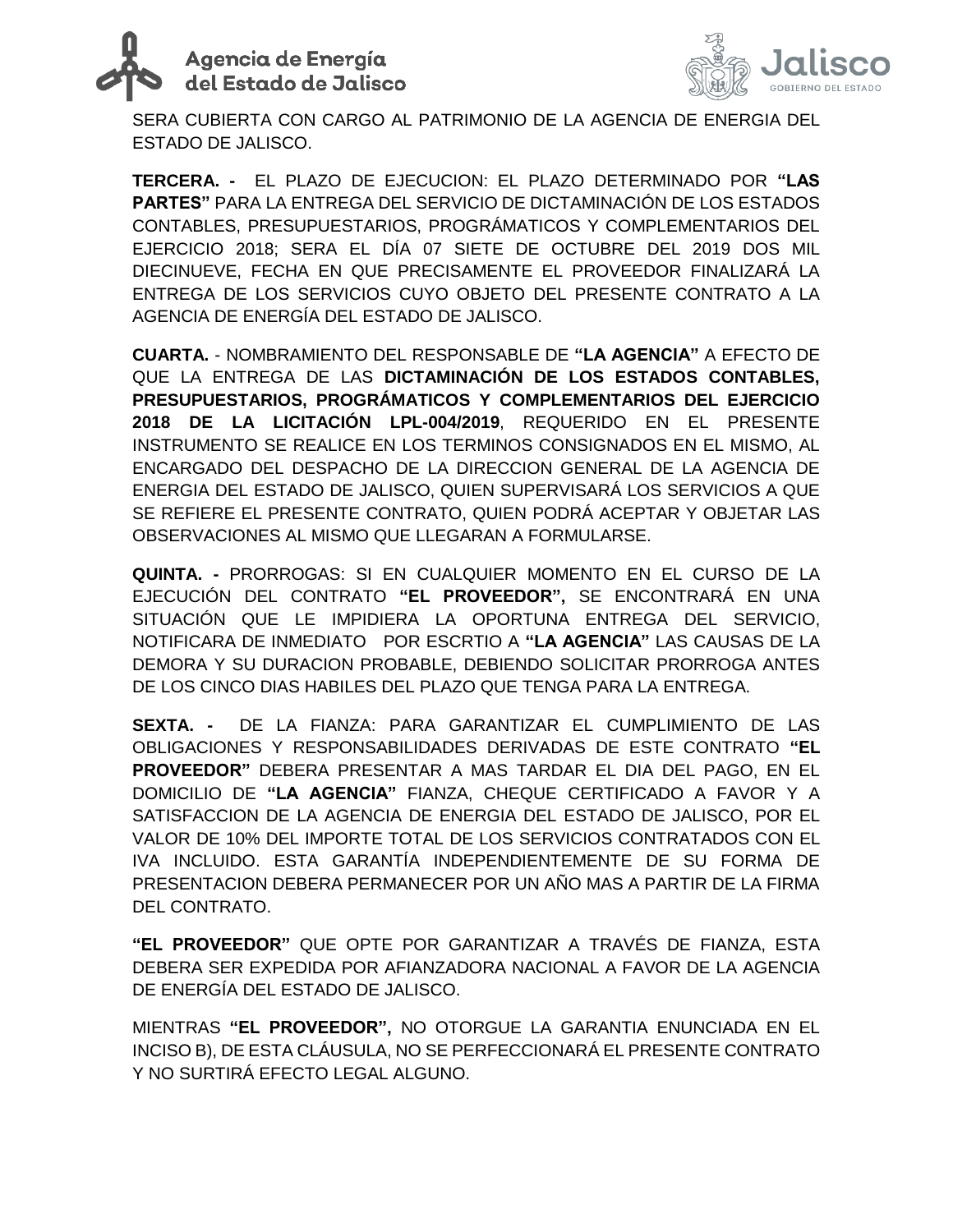# Agencia de Energía<br>del Estado de Jalisco



SERA CUBIERTA CON CARGO AL PATRIMONIO DE LA AGENCIA DE ENERGIA DEL ESTADO DE JALISCO.

**TERCERA. -** EL PLAZO DE EJECUCION: EL PLAZO DETERMINADO POR **"LAS PARTES"** PARA LA ENTREGA DEL SERVICIO DE DICTAMINACIÓN DE LOS ESTADOS CONTABLES, PRESUPUESTARIOS, PROGRÁMATICOS Y COMPLEMENTARIOS DEL EJERCICIO 2018; SERA EL DÍA 07 SIETE DE OCTUBRE DEL 2019 DOS MIL DIECINUEVE, FECHA EN QUE PRECISAMENTE EL PROVEEDOR FINALIZARÁ LA ENTREGA DE LOS SERVICIOS CUYO OBJETO DEL PRESENTE CONTRATO A LA AGENCIA DE ENERGÍA DEL ESTADO DE JALISCO.

**CUARTA.** - NOMBRAMIENTO DEL RESPONSABLE DE **"LA AGENCIA"** A EFECTO DE QUE LA ENTREGA DE LAS **DICTAMINACIÓN DE LOS ESTADOS CONTABLES, PRESUPUESTARIOS, PROGRÁMATICOS Y COMPLEMENTARIOS DEL EJERCICIO 2018 DE LA LICITACIÓN LPL-004/2019**, REQUERIDO EN EL PRESENTE INSTRUMENTO SE REALICE EN LOS TERMINOS CONSIGNADOS EN EL MISMO, AL ENCARGADO DEL DESPACHO DE LA DIRECCION GENERAL DE LA AGENCIA DE ENERGIA DEL ESTADO DE JALISCO, QUIEN SUPERVISARÁ LOS SERVICIOS A QUE SE REFIERE EL PRESENTE CONTRATO, QUIEN PODRÁ ACEPTAR Y OBJETAR LAS OBSERVACIONES AL MISMO QUE LLEGARAN A FORMULARSE.

**QUINTA. -** PRORROGAS: SI EN CUALQUIER MOMENTO EN EL CURSO DE LA EJECUCIÓN DEL CONTRATO **"EL PROVEEDOR",** SE ENCONTRARÁ EN UNA SITUACIÓN QUE LE IMPIDIERA LA OPORTUNA ENTREGA DEL SERVICIO, NOTIFICARA DE INMEDIATO POR ESCRTIO A **"LA AGENCIA"** LAS CAUSAS DE LA DEMORA Y SU DURACION PROBABLE, DEBIENDO SOLICITAR PRORROGA ANTES DE LOS CINCO DIAS HABILES DEL PLAZO QUE TENGA PARA LA ENTREGA.

**SEXTA. -** DE LA FIANZA: PARA GARANTIZAR EL CUMPLIMIENTO DE LAS OBLIGACIONES Y RESPONSABILIDADES DERIVADAS DE ESTE CONTRATO **"EL PROVEEDOR"** DEBERA PRESENTAR A MAS TARDAR EL DIA DEL PAGO, EN EL DOMICILIO DE **"LA AGENCIA"** FIANZA, CHEQUE CERTIFICADO A FAVOR Y A SATISFACCION DE LA AGENCIA DE ENERGIA DEL ESTADO DE JALISCO, POR EL VALOR DE 10% DEL IMPORTE TOTAL DE LOS SERVICIOS CONTRATADOS CON EL IVA INCLUIDO. ESTA GARANTÍA INDEPENDIENTEMENTE DE SU FORMA DE PRESENTACION DEBERA PERMANECER POR UN AÑO MAS A PARTIR DE LA FIRMA DEL CONTRATO.

**"EL PROVEEDOR"** QUE OPTE POR GARANTIZAR A TRAVÉS DE FIANZA, ESTA DEBERA SER EXPEDIDA POR AFIANZADORA NACIONAL A FAVOR DE LA AGENCIA DE ENERGÍA DEL ESTADO DE JALISCO.

MIENTRAS **"EL PROVEEDOR",** NO OTORGUE LA GARANTIA ENUNCIADA EN EL INCISO B), DE ESTA CLÁUSULA, NO SE PERFECCIONARÁ EL PRESENTE CONTRATO Y NO SURTIRÁ EFECTO LEGAL ALGUNO.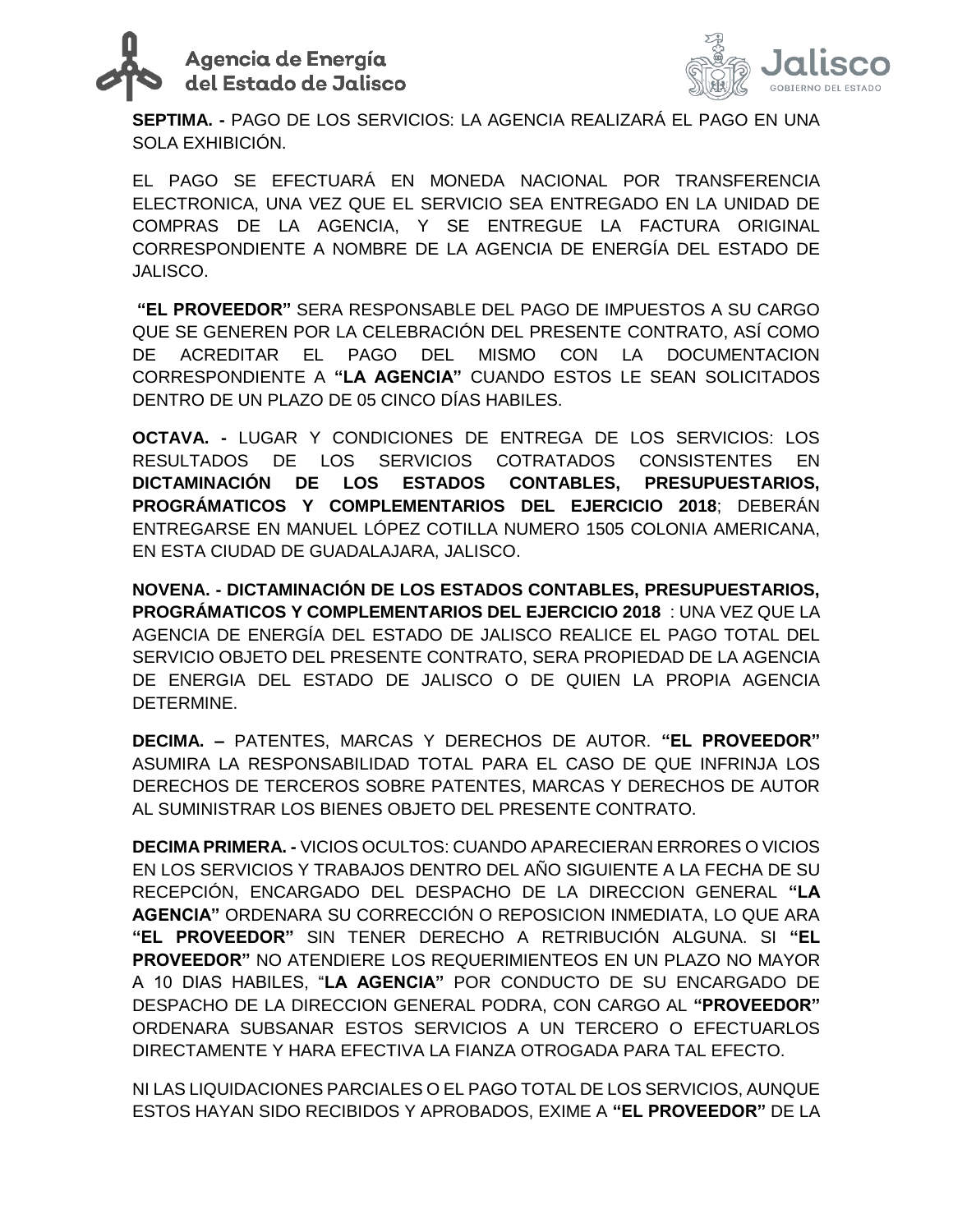



**SEPTIMA. -** PAGO DE LOS SERVICIOS: LA AGENCIA REALIZARÁ EL PAGO EN UNA SOLA EXHIBICIÓN.

EL PAGO SE EFECTUARÁ EN MONEDA NACIONAL POR TRANSFERENCIA ELECTRONICA, UNA VEZ QUE EL SERVICIO SEA ENTREGADO EN LA UNIDAD DE COMPRAS DE LA AGENCIA, Y SE ENTREGUE LA FACTURA ORIGINAL CORRESPONDIENTE A NOMBRE DE LA AGENCIA DE ENERGÍA DEL ESTADO DE JALISCO.

**"EL PROVEEDOR"** SERA RESPONSABLE DEL PAGO DE IMPUESTOS A SU CARGO QUE SE GENEREN POR LA CELEBRACIÓN DEL PRESENTE CONTRATO, ASÍ COMO DE ACREDITAR EL PAGO DEL MISMO CON LA DOCUMENTACION CORRESPONDIENTE A **"LA AGENCIA"** CUANDO ESTOS LE SEAN SOLICITADOS DENTRO DE UN PLAZO DE 05 CINCO DÍAS HABILES.

**OCTAVA. -** LUGAR Y CONDICIONES DE ENTREGA DE LOS SERVICIOS: LOS RESULTADOS DE LOS SERVICIOS COTRATADOS CONSISTENTES EN **DICTAMINACIÓN DE LOS ESTADOS CONTABLES, PRESUPUESTARIOS, PROGRÁMATICOS Y COMPLEMENTARIOS DEL EJERCICIO 2018**; DEBERÁN ENTREGARSE EN MANUEL LÓPEZ COTILLA NUMERO 1505 COLONIA AMERICANA, EN ESTA CIUDAD DE GUADALAJARA, JALISCO.

**NOVENA. - DICTAMINACIÓN DE LOS ESTADOS CONTABLES, PRESUPUESTARIOS, PROGRÁMATICOS Y COMPLEMENTARIOS DEL EJERCICIO 2018** : UNA VEZ QUE LA AGENCIA DE ENERGÍA DEL ESTADO DE JALISCO REALICE EL PAGO TOTAL DEL SERVICIO OBJETO DEL PRESENTE CONTRATO, SERA PROPIEDAD DE LA AGENCIA DE ENERGIA DEL ESTADO DE JALISCO O DE QUIEN LA PROPIA AGENCIA DETERMINE.

**DECIMA. –** PATENTES, MARCAS Y DERECHOS DE AUTOR. **"EL PROVEEDOR"** ASUMIRA LA RESPONSABILIDAD TOTAL PARA EL CASO DE QUE INFRINJA LOS DERECHOS DE TERCEROS SOBRE PATENTES, MARCAS Y DERECHOS DE AUTOR AL SUMINISTRAR LOS BIENES OBJETO DEL PRESENTE CONTRATO.

**DECIMA PRIMERA. -** VICIOS OCULTOS: CUANDO APARECIERAN ERRORES O VICIOS EN LOS SERVICIOS Y TRABAJOS DENTRO DEL AÑO SIGUIENTE A LA FECHA DE SU RECEPCIÓN, ENCARGADO DEL DESPACHO DE LA DIRECCION GENERAL **"LA AGENCIA"** ORDENARA SU CORRECCIÓN O REPOSICION INMEDIATA, LO QUE ARA **"EL PROVEEDOR"** SIN TENER DERECHO A RETRIBUCIÓN ALGUNA. SI **"EL PROVEEDOR"** NO ATENDIERE LOS REQUERIMIENTEOS EN UN PLAZO NO MAYOR A 10 DIAS HABILES, "**LA AGENCIA"** POR CONDUCTO DE SU ENCARGADO DE DESPACHO DE LA DIRECCION GENERAL PODRA, CON CARGO AL **"PROVEEDOR"** ORDENARA SUBSANAR ESTOS SERVICIOS A UN TERCERO O EFECTUARLOS DIRECTAMENTE Y HARA EFECTIVA LA FIANZA OTROGADA PARA TAL EFECTO.

NI LAS LIQUIDACIONES PARCIALES O EL PAGO TOTAL DE LOS SERVICIOS, AUNQUE ESTOS HAYAN SIDO RECIBIDOS Y APROBADOS, EXIME A **"EL PROVEEDOR"** DE LA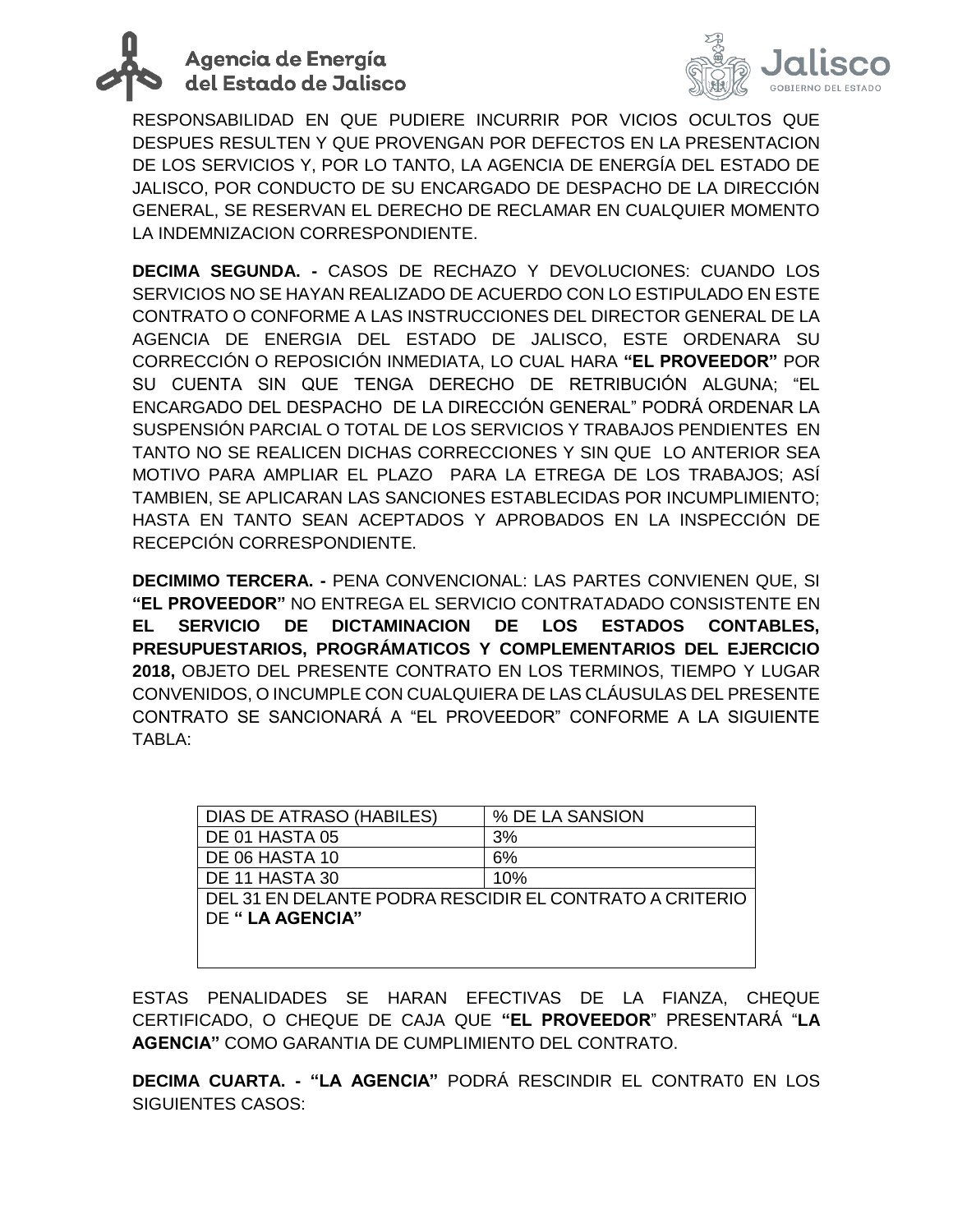



RESPONSABILIDAD EN QUE PUDIERE INCURRIR POR VICIOS OCULTOS QUE DESPUES RESULTEN Y QUE PROVENGAN POR DEFECTOS EN LA PRESENTACION DE LOS SERVICIOS Y, POR LO TANTO, LA AGENCIA DE ENERGÍA DEL ESTADO DE JALISCO, POR CONDUCTO DE SU ENCARGADO DE DESPACHO DE LA DIRECCIÓN GENERAL, SE RESERVAN EL DERECHO DE RECLAMAR EN CUALQUIER MOMENTO LA INDEMNIZACION CORRESPONDIENTE.

**DECIMA SEGUNDA. -** CASOS DE RECHAZO Y DEVOLUCIONES: CUANDO LOS SERVICIOS NO SE HAYAN REALIZADO DE ACUERDO CON LO ESTIPULADO EN ESTE CONTRATO O CONFORME A LAS INSTRUCCIONES DEL DIRECTOR GENERAL DE LA AGENCIA DE ENERGIA DEL ESTADO DE JALISCO, ESTE ORDENARA SU CORRECCIÓN O REPOSICIÓN INMEDIATA, LO CUAL HARA **"EL PROVEEDOR"** POR SU CUENTA SIN QUE TENGA DERECHO DE RETRIBUCIÓN ALGUNA; "EL ENCARGADO DEL DESPACHO DE LA DIRECCIÓN GENERAL" PODRÁ ORDENAR LA SUSPENSIÓN PARCIAL O TOTAL DE LOS SERVICIOS Y TRABAJOS PENDIENTES EN TANTO NO SE REALICEN DICHAS CORRECCIONES Y SIN QUE LO ANTERIOR SEA MOTIVO PARA AMPLIAR EL PLAZO PARA LA ETREGA DE LOS TRABAJOS; ASÍ TAMBIEN, SE APLICARAN LAS SANCIONES ESTABLECIDAS POR INCUMPLIMIENTO; HASTA EN TANTO SEAN ACEPTADOS Y APROBADOS EN LA INSPECCIÓN DE RECEPCIÓN CORRESPONDIENTE.

**DECIMIMO TERCERA. -** PENA CONVENCIONAL: LAS PARTES CONVIENEN QUE, SI **"EL PROVEEDOR"** NO ENTREGA EL SERVICIO CONTRATADADO CONSISTENTE EN **EL SERVICIO DE DICTAMINACION DE LOS ESTADOS CONTABLES, PRESUPUESTARIOS, PROGRÁMATICOS Y COMPLEMENTARIOS DEL EJERCICIO 2018,** OBJETO DEL PRESENTE CONTRATO EN LOS TERMINOS, TIEMPO Y LUGAR CONVENIDOS, O INCUMPLE CON CUALQUIERA DE LAS CLÁUSULAS DEL PRESENTE CONTRATO SE SANCIONARÁ A "EL PROVEEDOR" CONFORME A LA SIGUIENTE TABLA:

| DIAS DE ATRASO (HABILES)                                | % DE LA SANSION |
|---------------------------------------------------------|-----------------|
| DE 01 HASTA 05                                          | 3%              |
| DE 06 HASTA 10                                          | 6%              |
| DE 11 HASTA 30                                          | 10%             |
| DEL 31 EN DELANTE PODRA RESCIDIR EL CONTRATO A CRITERIO |                 |
| DE " LA AGENCIA"                                        |                 |
|                                                         |                 |
|                                                         |                 |

ESTAS PENALIDADES SE HARAN EFECTIVAS DE LA FIANZA, CHEQUE CERTIFICADO, O CHEQUE DE CAJA QUE **"EL PROVEEDOR**" PRESENTARÁ "**LA AGENCIA"** COMO GARANTIA DE CUMPLIMIENTO DEL CONTRATO.

**DECIMA CUARTA. - "LA AGENCIA"** PODRÁ RESCINDIR EL CONTRAT0 EN LOS SIGUIENTES CASOS: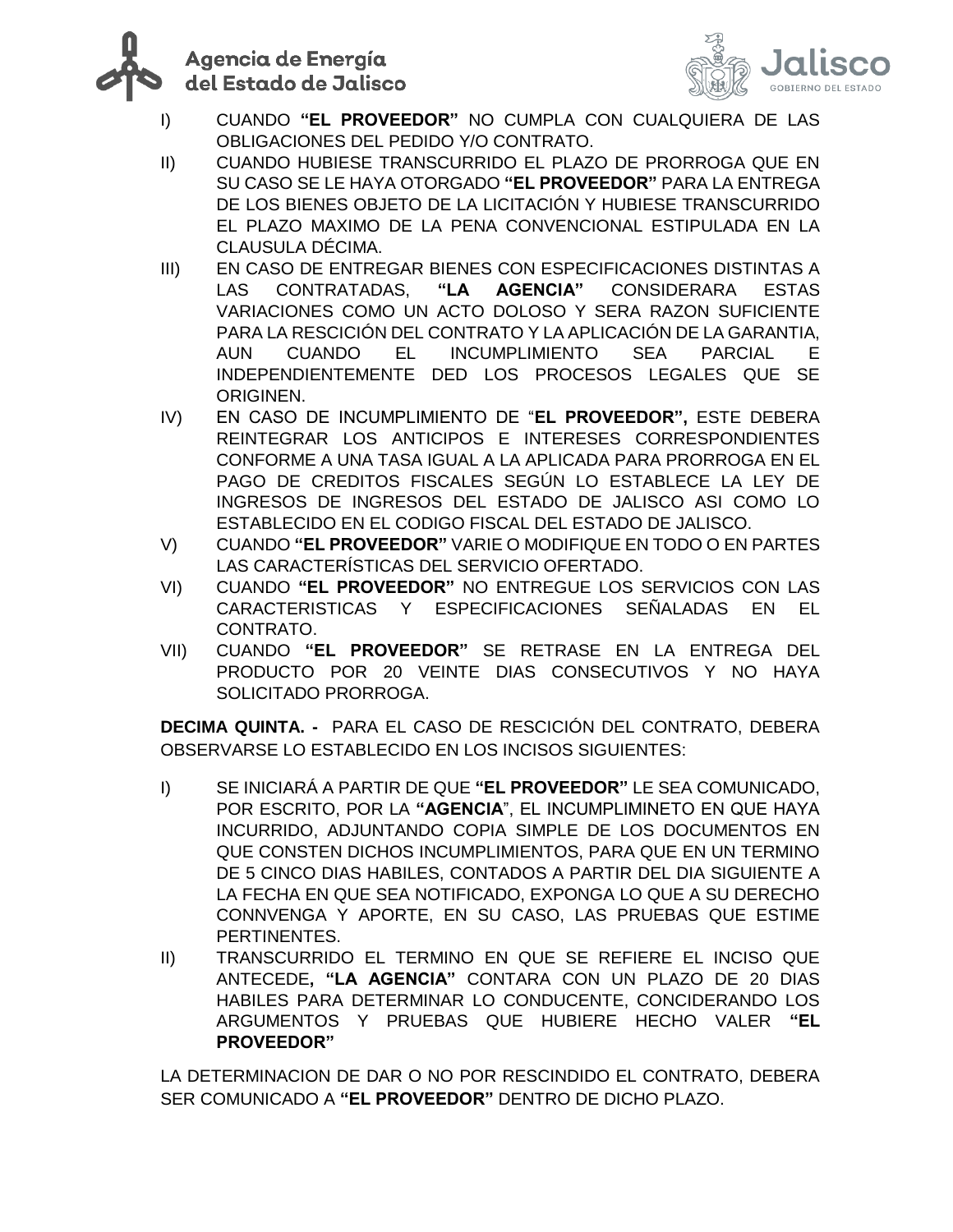



- I) CUANDO **"EL PROVEEDOR"** NO CUMPLA CON CUALQUIERA DE LAS OBLIGACIONES DEL PEDIDO Y/O CONTRATO.
- II) CUANDO HUBIESE TRANSCURRIDO EL PLAZO DE PRORROGA QUE EN SU CASO SE LE HAYA OTORGADO **"EL PROVEEDOR"** PARA LA ENTREGA DE LOS BIENES OBJETO DE LA LICITACIÓN Y HUBIESE TRANSCURRIDO EL PLAZO MAXIMO DE LA PENA CONVENCIONAL ESTIPULADA EN LA CLAUSULA DÉCIMA.
- III) EN CASO DE ENTREGAR BIENES CON ESPECIFICACIONES DISTINTAS A LAS CONTRATADAS, **"LA AGENCIA"** CONSIDERARA ESTAS VARIACIONES COMO UN ACTO DOLOSO Y SERA RAZON SUFICIENTE PARA LA RESCICIÓN DEL CONTRATO Y LA APLICACIÓN DE LA GARANTIA, AUN CUANDO EL INCUMPLIMIENTO SEA PARCIAL E INDEPENDIENTEMENTE DED LOS PROCESOS LEGALES QUE SE ORIGINEN.
- IV) EN CASO DE INCUMPLIMIENTO DE "**EL PROVEEDOR",** ESTE DEBERA REINTEGRAR LOS ANTICIPOS E INTERESES CORRESPONDIENTES CONFORME A UNA TASA IGUAL A LA APLICADA PARA PRORROGA EN EL PAGO DE CREDITOS FISCALES SEGÚN LO ESTABLECE LA LEY DE INGRESOS DE INGRESOS DEL ESTADO DE JALISCO ASI COMO LO ESTABLECIDO EN EL CODIGO FISCAL DEL ESTADO DE JALISCO.
- V) CUANDO **"EL PROVEEDOR"** VARIE O MODIFIQUE EN TODO O EN PARTES LAS CARACTERÍSTICAS DEL SERVICIO OFERTADO.
- VI) CUANDO **"EL PROVEEDOR"** NO ENTREGUE LOS SERVICIOS CON LAS CARACTERISTICAS Y ESPECIFICACIONES SEÑALADAS EN EL CONTRATO.
- VII) CUANDO **"EL PROVEEDOR"** SE RETRASE EN LA ENTREGA DEL PRODUCTO POR 20 VEINTE DIAS CONSECUTIVOS Y NO HAYA SOLICITADO PRORROGA.

**DECIMA QUINTA. -** PARA EL CASO DE RESCICIÓN DEL CONTRATO, DEBERA OBSERVARSE LO ESTABLECIDO EN LOS INCISOS SIGUIENTES:

- I) SE INICIARÁ A PARTIR DE QUE **"EL PROVEEDOR"** LE SEA COMUNICADO, POR ESCRITO, POR LA **"AGENCIA**", EL INCUMPLIMINETO EN QUE HAYA INCURRIDO, ADJUNTANDO COPIA SIMPLE DE LOS DOCUMENTOS EN QUE CONSTEN DICHOS INCUMPLIMIENTOS, PARA QUE EN UN TERMINO DE 5 CINCO DIAS HABILES, CONTADOS A PARTIR DEL DIA SIGUIENTE A LA FECHA EN QUE SEA NOTIFICADO, EXPONGA LO QUE A SU DERECHO CONNVENGA Y APORTE, EN SU CASO, LAS PRUEBAS QUE ESTIME PERTINENTES.
- II) TRANSCURRIDO EL TERMINO EN QUE SE REFIERE EL INCISO QUE ANTECEDE**, "LA AGENCIA"** CONTARA CON UN PLAZO DE 20 DIAS HABILES PARA DETERMINAR LO CONDUCENTE, CONCIDERANDO LOS ARGUMENTOS Y PRUEBAS QUE HUBIERE HECHO VALER **"EL PROVEEDOR"**

LA DETERMINACION DE DAR O NO POR RESCINDIDO EL CONTRATO, DEBERA SER COMUNICADO A **"EL PROVEEDOR"** DENTRO DE DICHO PLAZO.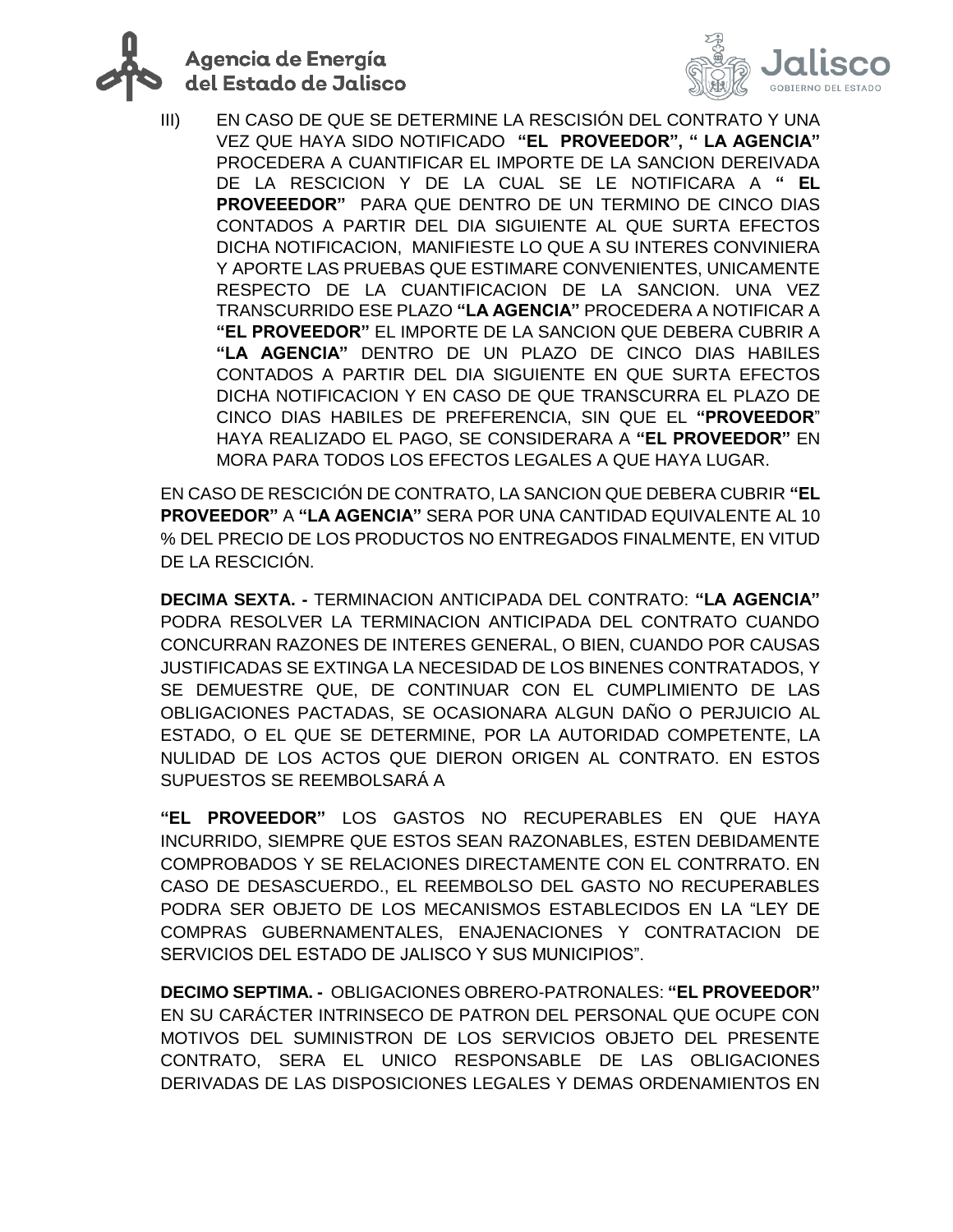



III) EN CASO DE QUE SE DETERMINE LA RESCISIÓN DEL CONTRATO Y UNA VEZ QUE HAYA SIDO NOTIFICADO **"EL PROVEEDOR", " LA AGENCIA"** PROCEDERA A CUANTIFICAR EL IMPORTE DE LA SANCION DEREIVADA DE LA RESCICION Y DE LA CUAL SE LE NOTIFICARA A **" EL PROVEEEDOR"** PARA QUE DENTRO DE UN TERMINO DE CINCO DIAS CONTADOS A PARTIR DEL DIA SIGUIENTE AL QUE SURTA EFECTOS DICHA NOTIFICACION, MANIFIESTE LO QUE A SU INTERES CONVINIERA Y APORTE LAS PRUEBAS QUE ESTIMARE CONVENIENTES, UNICAMENTE RESPECTO DE LA CUANTIFICACION DE LA SANCION. UNA VEZ TRANSCURRIDO ESE PLAZO **"LA AGENCIA"** PROCEDERA A NOTIFICAR A **"EL PROVEEDOR"** EL IMPORTE DE LA SANCION QUE DEBERA CUBRIR A **"LA AGENCIA"** DENTRO DE UN PLAZO DE CINCO DIAS HABILES CONTADOS A PARTIR DEL DIA SIGUIENTE EN QUE SURTA EFECTOS DICHA NOTIFICACION Y EN CASO DE QUE TRANSCURRA EL PLAZO DE CINCO DIAS HABILES DE PREFERENCIA, SIN QUE EL **"PROVEEDOR**" HAYA REALIZADO EL PAGO, SE CONSIDERARA A **"EL PROVEEDOR"** EN MORA PARA TODOS LOS EFECTOS LEGALES A QUE HAYA LUGAR.

EN CASO DE RESCICIÓN DE CONTRATO, LA SANCION QUE DEBERA CUBRIR **"EL PROVEEDOR"** A **"LA AGENCIA"** SERA POR UNA CANTIDAD EQUIVALENTE AL 10 % DEL PRECIO DE LOS PRODUCTOS NO ENTREGADOS FINALMENTE, EN VITUD DE LA RESCICIÓN.

**DECIMA SEXTA. -** TERMINACION ANTICIPADA DEL CONTRATO: **"LA AGENCIA"**  PODRA RESOLVER LA TERMINACION ANTICIPADA DEL CONTRATO CUANDO CONCURRAN RAZONES DE INTERES GENERAL, O BIEN, CUANDO POR CAUSAS JUSTIFICADAS SE EXTINGA LA NECESIDAD DE LOS BINENES CONTRATADOS, Y SE DEMUESTRE QUE, DE CONTINUAR CON EL CUMPLIMIENTO DE LAS OBLIGACIONES PACTADAS, SE OCASIONARA ALGUN DAÑO O PERJUICIO AL ESTADO, O EL QUE SE DETERMINE, POR LA AUTORIDAD COMPETENTE, LA NULIDAD DE LOS ACTOS QUE DIERON ORIGEN AL CONTRATO. EN ESTOS SUPUESTOS SE REEMBOLSARÁ A

**"EL PROVEEDOR"** LOS GASTOS NO RECUPERABLES EN QUE HAYA INCURRIDO, SIEMPRE QUE ESTOS SEAN RAZONABLES, ESTEN DEBIDAMENTE COMPROBADOS Y SE RELACIONES DIRECTAMENTE CON EL CONTRRATO. EN CASO DE DESASCUERDO., EL REEMBOLSO DEL GASTO NO RECUPERABLES PODRA SER OBJETO DE LOS MECANISMOS ESTABLECIDOS EN LA "LEY DE COMPRAS GUBERNAMENTALES, ENAJENACIONES Y CONTRATACION DE SERVICIOS DEL ESTADO DE JALISCO Y SUS MUNICIPIOS".

**DECIMO SEPTIMA. -** OBLIGACIONES OBRERO-PATRONALES: **"EL PROVEEDOR"** EN SU CARÁCTER INTRINSECO DE PATRON DEL PERSONAL QUE OCUPE CON MOTIVOS DEL SUMINISTRON DE LOS SERVICIOS OBJETO DEL PRESENTE CONTRATO, SERA EL UNICO RESPONSABLE DE LAS OBLIGACIONES DERIVADAS DE LAS DISPOSICIONES LEGALES Y DEMAS ORDENAMIENTOS EN